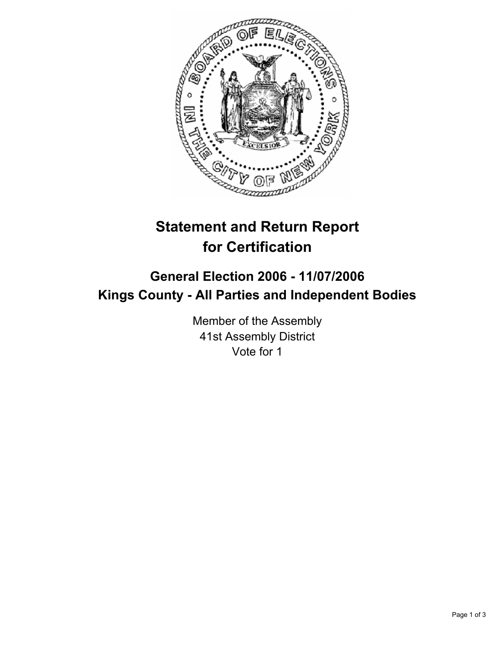

# **Statement and Return Report for Certification**

## **General Election 2006 - 11/07/2006 Kings County - All Parties and Independent Bodies**

Member of the Assembly 41st Assembly District Vote for 1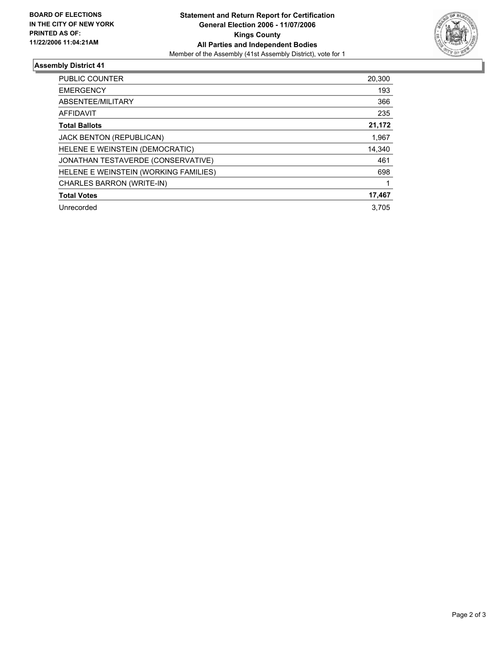

### **Assembly District 41**

| PUBLIC COUNTER                        | 20,300 |
|---------------------------------------|--------|
| <b>EMERGENCY</b>                      | 193    |
| ABSENTEE/MILITARY                     | 366    |
| <b>AFFIDAVIT</b>                      | 235    |
| <b>Total Ballots</b>                  | 21,172 |
| <b>JACK BENTON (REPUBLICAN)</b>       | 1,967  |
| HELENE E WEINSTEIN (DEMOCRATIC)       | 14,340 |
| JONATHAN TESTAVERDE (CONSERVATIVE)    | 461    |
| HELENE E WEINSTEIN (WORKING FAMILIES) | 698    |
| CHARLES BARRON (WRITE-IN)             |        |
| <b>Total Votes</b>                    | 17,467 |
| Unrecorded                            | 3.705  |